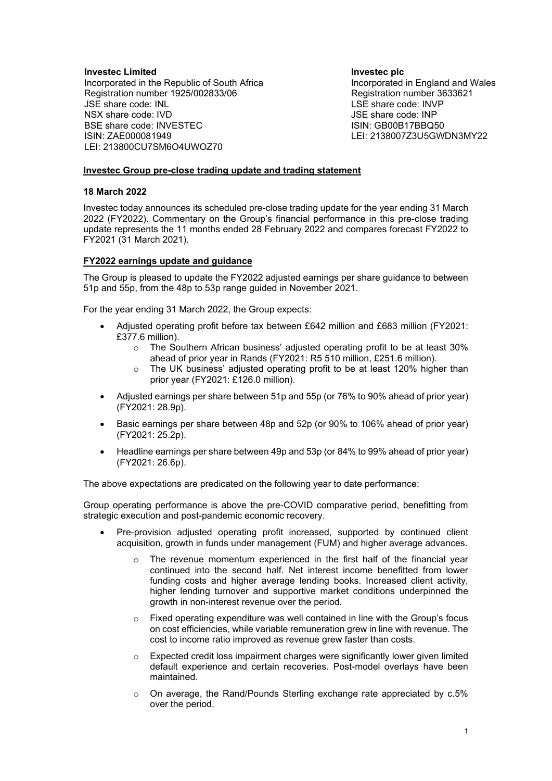### **Investec Limited**

Incorporated in the Republic of South Africa Registration number 1925/002833/06 JSE share code: INL NSX share code: IVD BSE share code: INVESTEC ISIN: ZAE000081949 LEI: 213800CU7SM6O4UWOZ70

**Investec plc** Incorporated in England and Wales Registration number 3633621 LSE share code: INVP JSE share code: INP ISIN: GB00B17BBQ50 LEI: 2138007Z3U5GWDN3MY22

### **Investec Group pre-close trading update and trading statement**

#### **18 March 2022**

Investec today announces its scheduled pre-close trading update for the year ending 31 March 2022 (FY2022). Commentary on the Group's financial performance in this pre-close trading update represents the 11 months ended 28 February 2022 and compares forecast FY2022 to FY2021 (31 March 2021).

### **FY2022 earnings update and guidance**

The Group is pleased to update the FY2022 adjusted earnings per share guidance to between 51p and 55p, from the 48p to 53p range guided in November 2021.

For the year ending 31 March 2022, the Group expects:

- Adjusted operating profit before tax between £642 million and £683 million (FY2021: £377.6 million).
	- o The Southern African business' adjusted operating profit to be at least 30% ahead of prior year in Rands (FY2021: R5 510 million, £251.6 million).
	- o The UK business' adjusted operating profit to be at least 120% higher than prior year (FY2021: £126.0 million).
- Adjusted earnings per share between 51p and 55p (or 76% to 90% ahead of prior year) (FY2021: 28.9p).
- Basic earnings per share between 48p and 52p (or 90% to 106% ahead of prior year) (FY2021: 25.2p).
- Headline earnings per share between 49p and 53p (or 84% to 99% ahead of prior year) (FY2021: 26.6p).

The above expectations are predicated on the following year to date performance:

Group operating performance is above the pre-COVID comparative period, benefitting from strategic execution and post-pandemic economic recovery.

- Pre-provision adjusted operating profit increased, supported by continued client acquisition, growth in funds under management (FUM) and higher average advances.
	- The revenue momentum experienced in the first half of the financial year continued into the second half. Net interest income benefitted from lower funding costs and higher average lending books. Increased client activity, higher lending turnover and supportive market conditions underpinned the growth in non-interest revenue over the period.
	- $\circ$  Fixed operating expenditure was well contained in line with the Group's focus on cost efficiencies, while variable remuneration grew in line with revenue. The cost to income ratio improved as revenue grew faster than costs.
	- $\circ$  Expected credit loss impairment charges were significantly lower given limited default experience and certain recoveries. Post-model overlays have been maintained.
	- o On average, the Rand/Pounds Sterling exchange rate appreciated by c.5% over the period.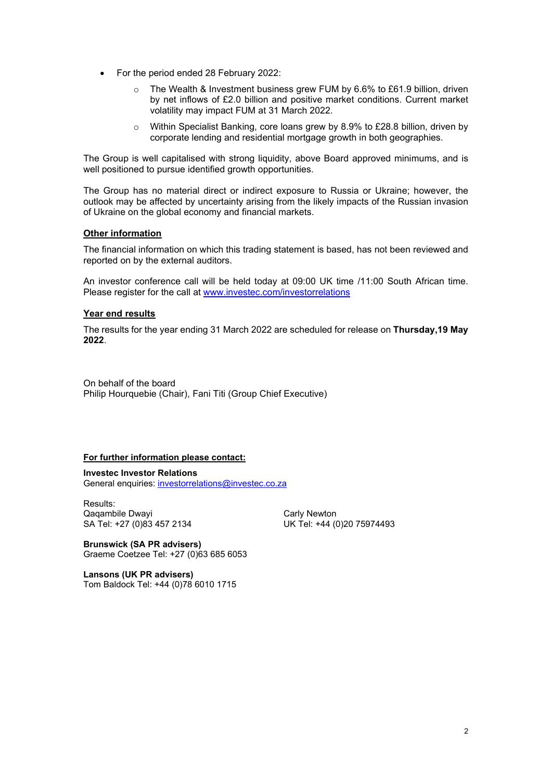- For the period ended 28 February 2022:
	- o The Wealth & Investment business grew FUM by 6.6% to £61.9 billion, driven by net inflows of £2.0 billion and positive market conditions. Current market volatility may impact FUM at 31 March 2022.
	- o Within Specialist Banking, core loans grew by 8.9% to £28.8 billion, driven by corporate lending and residential mortgage growth in both geographies.

The Group is well capitalised with strong liquidity, above Board approved minimums, and is well positioned to pursue identified growth opportunities.

The Group has no material direct or indirect exposure to Russia or Ukraine; however, the outlook may be affected by uncertainty arising from the likely impacts of the Russian invasion of Ukraine on the global economy and financial markets.

### **Other information**

The financial information on which this trading statement is based, has not been reviewed and reported on by the external auditors.

An investor conference call will be held today at 09:00 UK time /11:00 South African time. Please register for the call at [www.investec.com/investorrelations](http://www.investec.com/investorrelations)

### **Year end results**

The results for the year ending 31 March 2022 are scheduled for release on **Thursday,19 May 2022**.

On behalf of the board Philip Hourquebie (Chair), Fani Titi (Group Chief Executive)

## **For further information please contact:**

**Investec Investor Relations** General enquiries: [investorrelations@investec.co.za](mailto:investorrelations@investec.co.za)

Results: Qaqambile Dwayi Carly Newton<br>
SA Tel: +27 (0)83 457 2134 UK Tel: +44 (0

UK Tel: +44 (0)20 75974493

**Brunswick (SA PR advisers)** Graeme Coetzee Tel: +27 (0)63 685 6053

**Lansons (UK PR advisers)** Tom Baldock Tel: +44 (0)78 6010 1715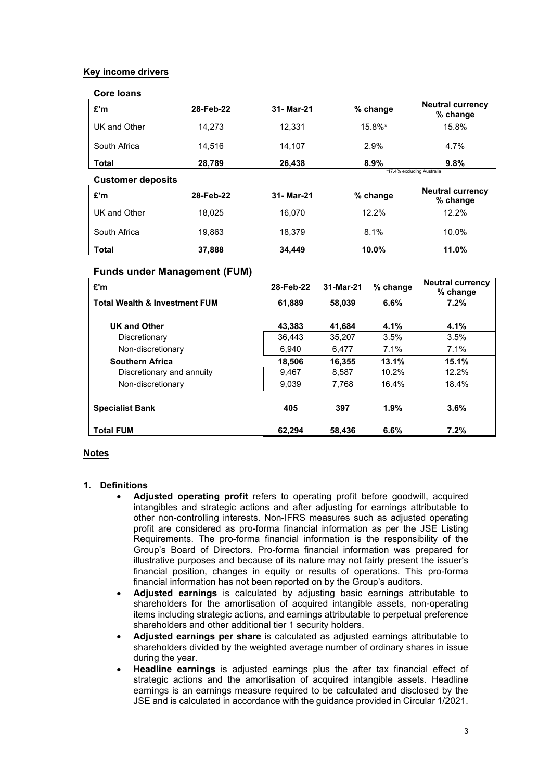## **Key income drivers**

| Core Ioans               |           |            |            |                                     |  |
|--------------------------|-----------|------------|------------|-------------------------------------|--|
| £'m                      | 28-Feb-22 | 31- Mar-21 | % change   | <b>Neutral currency</b><br>% change |  |
| UK and Other             | 14.273    | 12.331     | 15.8%*     | 15.8%                               |  |
| South Africa             | 14.516    | 14.107     | 2.9%       | 4.7%                                |  |
| Total                    | 28.789    | 26,438     | 8.9%       | 9.8%                                |  |
| <b>Customer deposits</b> |           |            |            | *17.4% excluding Australia          |  |
| £'m                      | 28-Feb-22 | 31- Mar-21 | $%$ change | <b>Neutral currency</b><br>% change |  |
| UK and Other             | 18.025    | 16.070     | 12.2%      | 12.2%                               |  |
| South Africa             | 19,863    | 18,379     | 8.1%       | 10.0%                               |  |
|                          |           |            |            |                                     |  |

**Total 37,888 34,449 10.0% 11.0%**

# **Funds under Management (FUM)**

| £'m                                      | 28-Feb-22 | 31-Mar-21 | % change | <b>Neutral currency</b><br>% change |  |
|------------------------------------------|-----------|-----------|----------|-------------------------------------|--|
| <b>Total Wealth &amp; Investment FUM</b> | 61.889    | 58,039    | 6.6%     | 7.2%                                |  |
| <b>UK and Other</b>                      | 43.383    | 41.684    | 4.1%     | 4.1%                                |  |
| Discretionary                            | 36.443    | 35.207    | 3.5%     | 3.5%                                |  |
| Non-discretionary                        | 6.940     | 6.477     | 7.1%     | $7.1\%$                             |  |
| <b>Southern Africa</b>                   | 18,506    | 16,355    | 13.1%    | 15.1%                               |  |
| Discretionary and annuity                | 9.467     | 8.587     | 10.2%    | 12.2%                               |  |
| Non-discretionary                        | 9,039     | 7,768     | 16.4%    | 18.4%                               |  |
| <b>Specialist Bank</b>                   | 405       | 397       | 1.9%     | 3.6%                                |  |
| <b>Total FUM</b>                         | 62.294    | 58.436    | 6.6%     | 7.2%                                |  |

## **Notes**

#### **1. Definitions**

- **Adjusted operating profit** refers to operating profit before goodwill, acquired intangibles and strategic actions and after adjusting for earnings attributable to other non-controlling interests. Non-IFRS measures such as adjusted operating profit are considered as pro-forma financial information as per the JSE Listing Requirements. The pro-forma financial information is the responsibility of the Group's Board of Directors. Pro-forma financial information was prepared for illustrative purposes and because of its nature may not fairly present the issuer's financial position, changes in equity or results of operations. This pro-forma financial information has not been reported on by the Group's auditors.
- **Adjusted earnings** is calculated by adjusting basic earnings attributable to shareholders for the amortisation of acquired intangible assets, non-operating items including strategic actions, and earnings attributable to perpetual preference shareholders and other additional tier 1 security holders.
- **Adjusted earnings per share** is calculated as adjusted earnings attributable to shareholders divided by the weighted average number of ordinary shares in issue during the year.
- **Headline earnings** is adjusted earnings plus the after tax financial effect of strategic actions and the amortisation of acquired intangible assets. Headline earnings is an earnings measure required to be calculated and disclosed by the JSE and is calculated in accordance with the guidance provided in Circular 1/2021.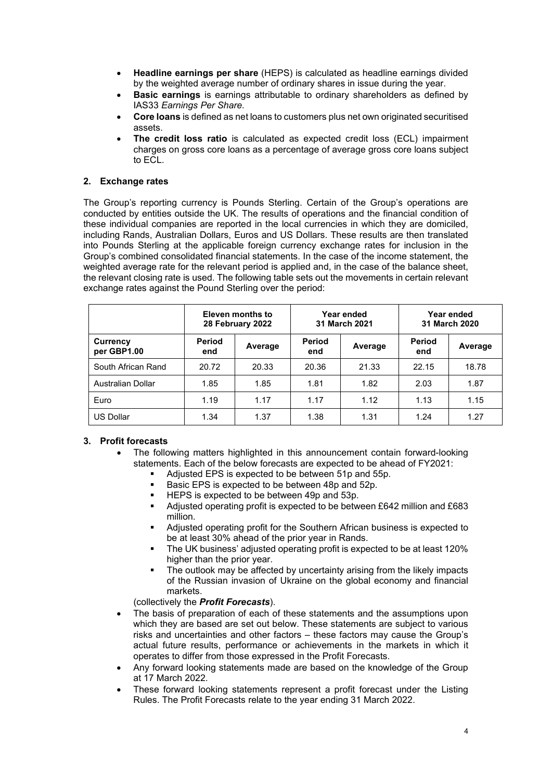- **Headline earnings per share** (HEPS) is calculated as headline earnings divided by the weighted average number of ordinary shares in issue during the year.
- **Basic earnings** is earnings attributable to ordinary shareholders as defined by IAS33 *Earnings Per Share.*
- **Core loans** is defined as net loans to customers plus net own originated securitised assets.
- **The credit loss ratio** is calculated as expected credit loss (ECL) impairment charges on gross core loans as a percentage of average gross core loans subject to ECL.

## **2. Exchange rates**

The Group's reporting currency is Pounds Sterling. Certain of the Group's operations are conducted by entities outside the UK. The results of operations and the financial condition of these individual companies are reported in the local currencies in which they are domiciled, including Rands, Australian Dollars, Euros and US Dollars. These results are then translated into Pounds Sterling at the applicable foreign currency exchange rates for inclusion in the Group's combined consolidated financial statements. In the case of the income statement, the weighted average rate for the relevant period is applied and, in the case of the balance sheet, the relevant closing rate is used. The following table sets out the movements in certain relevant exchange rates against the Pound Sterling over the period:

|                          | Eleven months to<br>28 February 2022 |         | Year ended<br>31 March 2021 |         | Year ended<br>31 March 2020 |         |
|--------------------------|--------------------------------------|---------|-----------------------------|---------|-----------------------------|---------|
| Currency<br>per GBP1.00  | Period<br>end                        | Average | <b>Period</b><br>end        | Average | Period<br>end               | Average |
| South African Rand       | 20.72                                | 20.33   | 20.36                       | 21.33   | 22.15                       | 18.78   |
| <b>Australian Dollar</b> | 1.85                                 | 1.85    | 1.81                        | 1.82    | 2.03                        | 1.87    |
| Euro                     | 1.19                                 | 1.17    | 1.17                        | 1.12    | 1.13                        | 1.15    |
| <b>US Dollar</b>         | 1.34                                 | 1.37    | 1.38                        | 1.31    | 1.24                        | 1.27    |

## **3. Profit forecasts**

- The following matters highlighted in this announcement contain forward-looking statements. Each of the below forecasts are expected to be ahead of FY2021:
	- Adjusted EPS is expected to be between 51p and 55p.
	- Basic EPS is expected to be between 48p and 52p.
	- HEPS is expected to be between 49p and 53p.<br>■ Adjusted operating profit is expected to be betw
	- Adjusted operating profit is expected to be between £642 million and £683 million.
	- Adjusted operating profit for the Southern African business is expected to be at least 30% ahead of the prior year in Rands.
	- The UK business' adjusted operating profit is expected to be at least 120% higher than the prior year.
	- The outlook may be affected by uncertainty arising from the likely impacts of the Russian invasion of Ukraine on the global economy and financial markets.

## (collectively the *Profit Forecasts*).

- The basis of preparation of each of these statements and the assumptions upon which they are based are set out below. These statements are subject to various risks and uncertainties and other factors – these factors may cause the Group's actual future results, performance or achievements in the markets in which it operates to differ from those expressed in the Profit Forecasts.
- Any forward looking statements made are based on the knowledge of the Group at 17 March 2022.
- These forward looking statements represent a profit forecast under the Listing Rules. The Profit Forecasts relate to the year ending 31 March 2022.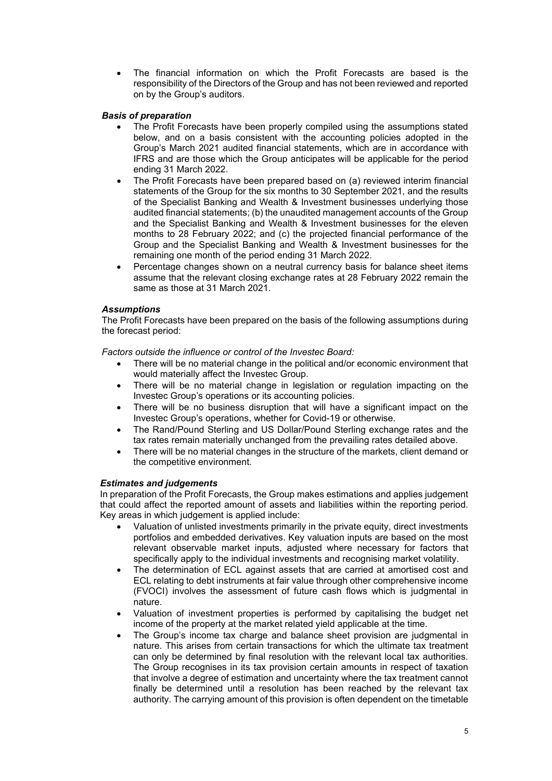• The financial information on which the Profit Forecasts are based is the responsibility of the Directors of the Group and has not been reviewed and reported on by the Group's auditors.

## *Basis of preparation*

- The Profit Forecasts have been properly compiled using the assumptions stated below, and on a basis consistent with the accounting policies adopted in the Group's March 2021 audited financial statements, which are in accordance with IFRS and are those which the Group anticipates will be applicable for the period ending 31 March 2022.
- The Profit Forecasts have been prepared based on (a) reviewed interim financial statements of the Group for the six months to 30 September 2021, and the results of the Specialist Banking and Wealth & Investment businesses underlying those audited financial statements; (b) the unaudited management accounts of the Group and the Specialist Banking and Wealth & Investment businesses for the eleven months to 28 February 2022; and (c) the projected financial performance of the Group and the Specialist Banking and Wealth & Investment businesses for the remaining one month of the period ending 31 March 2022.
- Percentage changes shown on a neutral currency basis for balance sheet items assume that the relevant closing exchange rates at 28 February 2022 remain the same as those at 31 March 2021.

## *Assumptions*

The Profit Forecasts have been prepared on the basis of the following assumptions during the forecast period:

*Factors outside the influence or control of the Investec Board:*

- There will be no material change in the political and/or economic environment that would materially affect the Investec Group.
- There will be no material change in legislation or regulation impacting on the Investec Group's operations or its accounting policies.
- There will be no business disruption that will have a significant impact on the Investec Group's operations, whether for Covid-19 or otherwise.
- The Rand/Pound Sterling and US Dollar/Pound Sterling exchange rates and the tax rates remain materially unchanged from the prevailing rates detailed above.
- There will be no material changes in the structure of the markets, client demand or the competitive environment.

## *Estimates and judgements*

In preparation of the Profit Forecasts, the Group makes estimations and applies judgement that could affect the reported amount of assets and liabilities within the reporting period. Key areas in which judgement is applied include:

- Valuation of unlisted investments primarily in the private equity, direct investments portfolios and embedded derivatives. Key valuation inputs are based on the most relevant observable market inputs, adjusted where necessary for factors that specifically apply to the individual investments and recognising market volatility.
- The determination of ECL against assets that are carried at amortised cost and ECL relating to debt instruments at fair value through other comprehensive income (FVOCI) involves the assessment of future cash flows which is judgmental in nature.
- Valuation of investment properties is performed by capitalising the budget net income of the property at the market related yield applicable at the time.
- The Group's income tax charge and balance sheet provision are judgmental in nature. This arises from certain transactions for which the ultimate tax treatment can only be determined by final resolution with the relevant local tax authorities. The Group recognises in its tax provision certain amounts in respect of taxation that involve a degree of estimation and uncertainty where the tax treatment cannot finally be determined until a resolution has been reached by the relevant tax authority. The carrying amount of this provision is often dependent on the timetable